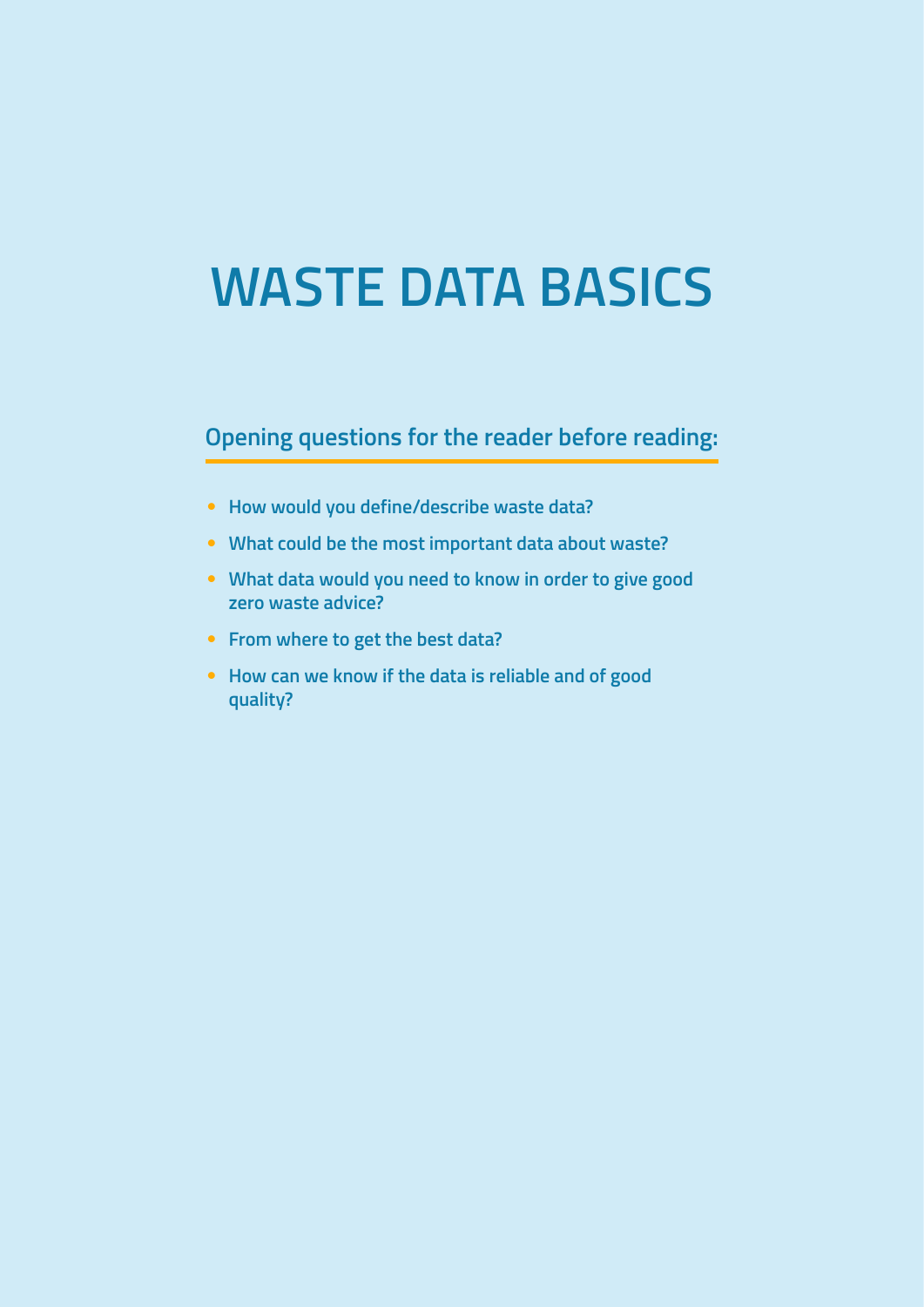# **WASTE DATA BASICS**

#### **Opening questions for the reader before reading:**

- **How would you define/describe waste data?**
- **What could be the most important data about waste?**
- **What data would you need to know in order to give good zero waste advice?**
- **From where to get the best data?**
- **How can we know if the data is reliable and of good quality?**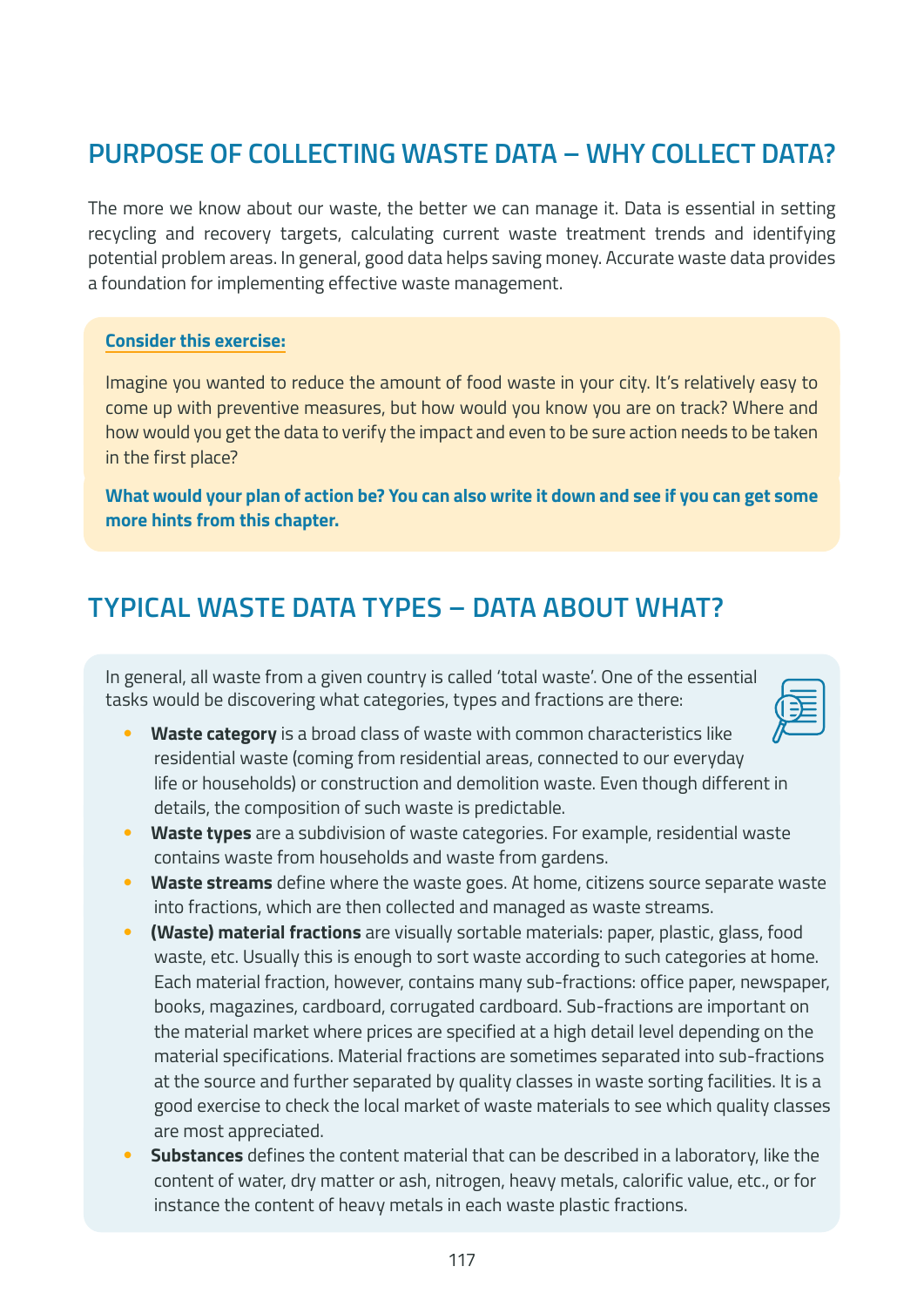## **PURPOSE OF COLLECTING WASTE DATA – WHY COLLECT DATA?**

The more we know about our waste, the better we can manage it. Data is essential in setting recycling and recovery targets, calculating current waste treatment trends and identifying potential problem areas. In general, good data helps saving money. Accurate waste data provides a foundation for implementing effective waste management.

#### **Consider this exercise:**

Imagine you wanted to reduce the amount of food waste in your city. It's relatively easy to come up with preventive measures, but how would you know you are on track? Where and how would you get the data to verify the impact and even to be sure action needs to be taken in the first place?

**What would your plan of action be? You can also write it down and see if you can get some more hints from this chapter.**

#### **TYPICAL WASTE DATA TYPES – DATA ABOUT WHAT?**

In general, all waste from a given country is called 'total waste'. One of the essential tasks would be discovering what categories, types and fractions are there:



- **Waste category** is a broad class of waste with common characteristics like residential waste (coming from residential areas, connected to our everyday life or households) or construction and demolition waste. Even though different in details, the composition of such waste is predictable.
- **Waste types** are a subdivision of waste categories. For example, residential waste contains waste from households and waste from gardens.
- **Waste streams** define where the waste goes. At home, citizens source separate waste into fractions, which are then collected and managed as waste streams.
- **(Waste) material fractions** are visually sortable materials: paper, plastic, glass, food waste, etc. Usually this is enough to sort waste according to such categories at home. Each material fraction, however, contains many sub-fractions: office paper, newspaper, books, magazines, cardboard, corrugated cardboard. Sub-fractions are important on the material market where prices are specified at a high detail level depending on the material specifications. Material fractions are sometimes separated into sub-fractions at the source and further separated by quality classes in waste sorting facilities. It is a good exercise to check the local market of waste materials to see which quality classes are most appreciated.
- **Substances** defines the content material that can be described in a laboratory, like the content of water, dry matter or ash, nitrogen, heavy metals, calorific value, etc., or for instance the content of heavy metals in each waste plastic fractions.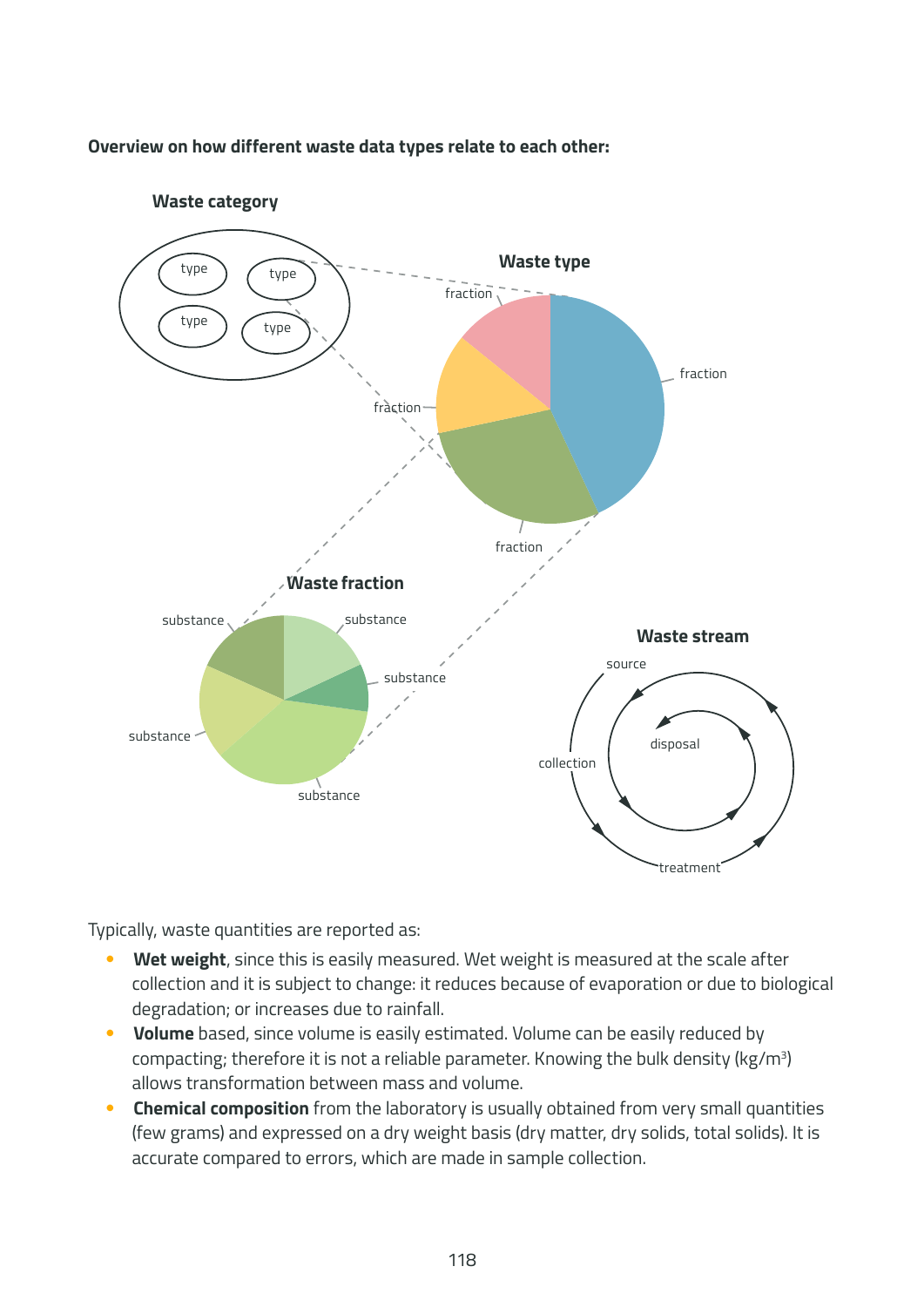#### **Overview on how different waste data types relate to each other:**



**Waste category**

Typically, waste quantities are reported as:

- Wet weight, since this is easily measured. Wet weight is measured at the scale after collection and it is subject to change: it reduces because of evaporation or due to biological degradation; or increases due to rainfall.
- **Volume** based, since volume is easily estimated. Volume can be easily reduced by compacting; therefore it is not a reliable parameter. Knowing the bulk density (kg/m<sup>3</sup>) allows transformation between mass and volume.
- **Chemical composition** from the laboratory is usually obtained from very small quantities (few grams) and expressed on a dry weight basis (dry matter, dry solids, total solids). It is accurate compared to errors, which are made in sample collection.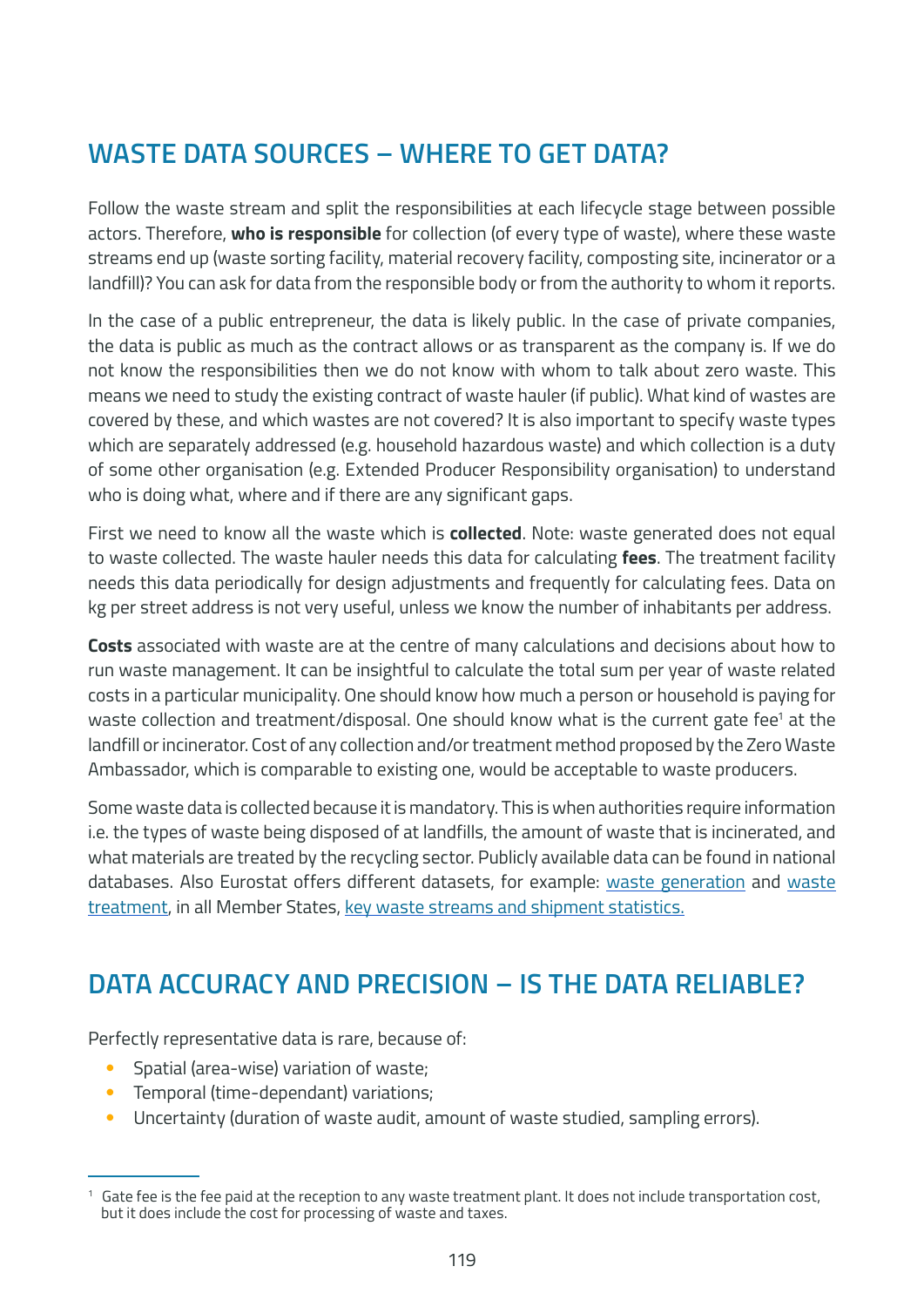# **WASTE DATA SOURCES – WHERE TO GET DATA?**

Follow the waste stream and split the responsibilities at each lifecycle stage between possible actors. Therefore, **who is responsible** for collection (of every type of waste), where these waste streams end up (waste sorting facility, material recovery facility, composting site, incinerator or a landfill)? You can ask for data from the responsible body or from the authority to whom it reports.

In the case of a public entrepreneur, the data is likely public. In the case of private companies, the data is public as much as the contract allows or as transparent as the company is. If we do not know the responsibilities then we do not know with whom to talk about zero waste. This means we need to study the existing contract of waste hauler (if public). What kind of wastes are covered by these, and which wastes are not covered? It is also important to specify waste types which are separately addressed (e.g. household hazardous waste) and which collection is a duty of some other organisation (e.g. Extended Producer Responsibility organisation) to understand who is doing what, where and if there are any significant gaps.

First we need to know all the waste which is **collected**. Note: waste generated does not equal to waste collected. The waste hauler needs this data for calculating **fees**. The treatment facility needs this data periodically for design adjustments and frequently for calculating fees. Data on kg per street address is not very useful, unless we know the number of inhabitants per address.

**Costs** associated with waste are at the centre of many calculations and decisions about how to run waste management. It can be insightful to calculate the total sum per year of waste related costs in a particular municipality. One should know how much a person or household is paying for waste collection and treatment/disposal. One should know what is the current gate fee<sup>1</sup> at the landfill or incinerator. Cost of any collection and/or treatment method proposed by the Zero Waste Ambassador, which is comparable to existing one, would be acceptable to waste producers.

Some waste data is collected because it is mandatory. This is when authorities require information i.e. the types of waste being disposed of at landfills, the amount of waste that is incinerated, and what materials are treated by the recycling sector. Publicly available data can be found in national databases. Also Eurostat offers different datasets, for example: waste generation and waste treatment, in all Member States, key waste streams and shipment statistics.

### **DATA ACCURACY AND PRECISION – IS THE DATA RELIABLE?**

Perfectly representative data is rare, because of:

- Spatial (area-wise) variation of waste;
- Temporal (time-dependant) variations;
- Uncertainty (duration of waste audit, amount of waste studied, sampling errors).

<sup>&</sup>lt;sup>1</sup> Gate fee is the fee paid at the reception to any waste treatment plant. It does not include transportation cost, but it does include the cost for processing of waste and taxes.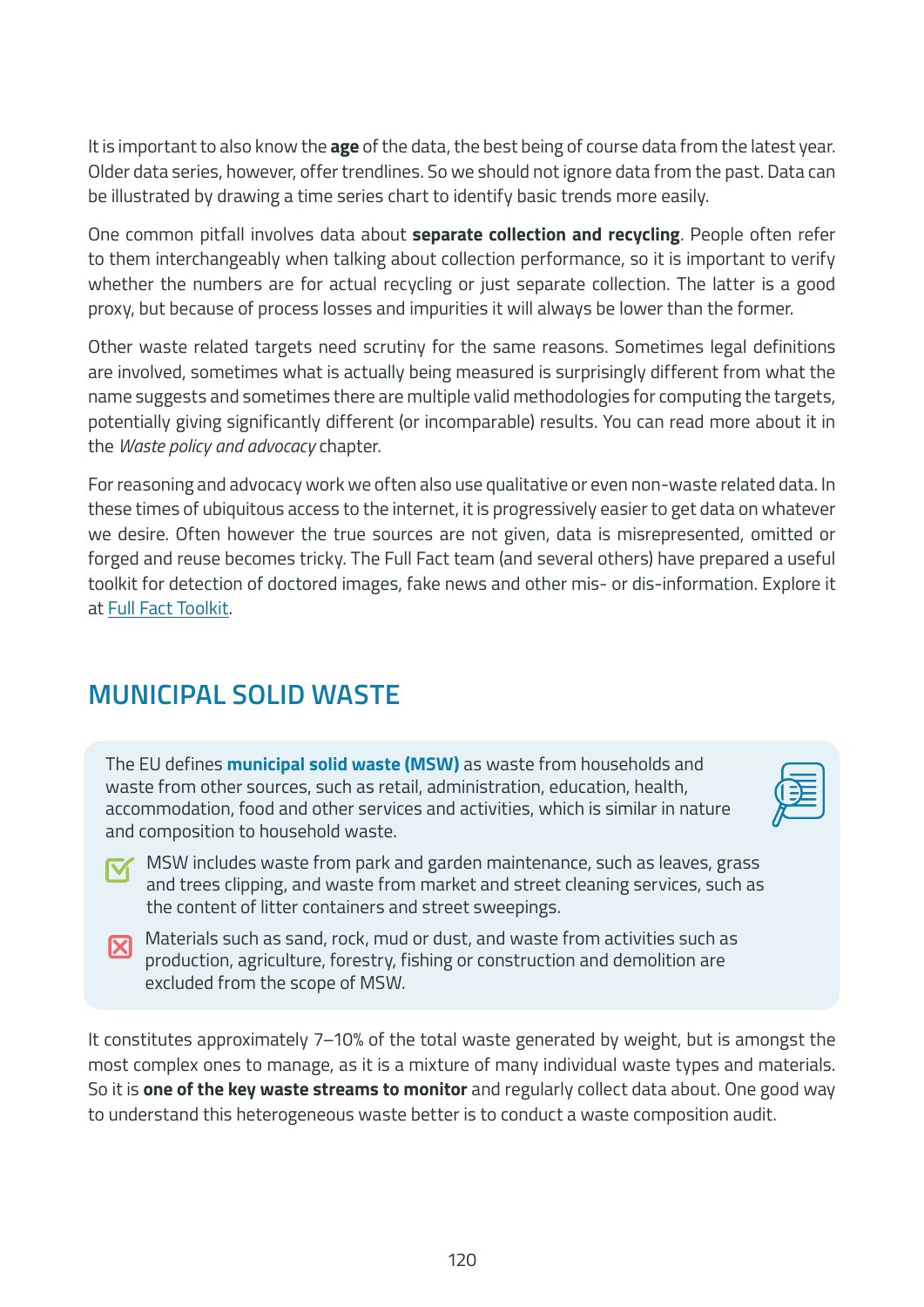It is important to also know the **age** of the data, the best being of course data from the latest year. Older data series, however, offer trendlines. So we should not ignore data from the past. Data can be illustrated by drawing a time series chart to identify basic trends more easily.

One common pitfall involves data about **separate collection and recycling**. People often refer to them interchangeably when talking about collection performance, so it is important to verify whether the numbers are for actual recycling or just separate collection. The latter is a good proxy, but because of process losses and impurities it will always be lower than the former.

Other waste related targets need scrutiny for the same reasons. Sometimes legal definitions are involved, sometimes what is actually being measured is surprisingly different from what the name suggests and sometimes there are multiple valid methodologies for computing the targets, potentially giving significantly different (or incomparable) results. You can read more about it in the *Waste policy and advocacy* chapter.

For reasoning and advocacy work we often also use qualitative or even non-waste related data. In these times of ubiquitous access to the internet, it is progressively easier to get data on whatever we desire. Often however the true sources are not given, data is misrepresented, omitted or forged and reuse becomes tricky. The Full Fact team (and several others) have prepared a useful toolkit for detection of doctored images, fake news and other mis- or dis-information. Explore it at Full Fact Toolkit.

### **MUNICIPAL SOLID WASTE**

The EU defines **municipal solid waste (MSW)** as waste from households and waste from other sources, such as retail, administration, education, health, accommodation, food and other services and activities, which is similar in nature and composition to household waste.



- MSW includes waste from park and garden maintenance, such as leaves, grass and trees clipping, and waste from market and street cleaning services, such as the content of litter containers and street sweepings.
- Materials such as sand, rock, mud or dust, and waste from activities such as  $\overline{\mathbf{X}}$ production, agriculture, forestry, fishing or construction and demolition are excluded from the scope of MSW.

It constitutes approximately 7–10% of the total waste generated by weight, but is amongst the most complex ones to manage, as it is a mixture of many individual waste types and materials. So it is **one of the key waste streams to monitor** and regularly collect data about. One good way to understand this heterogeneous waste better is to conduct a waste composition audit.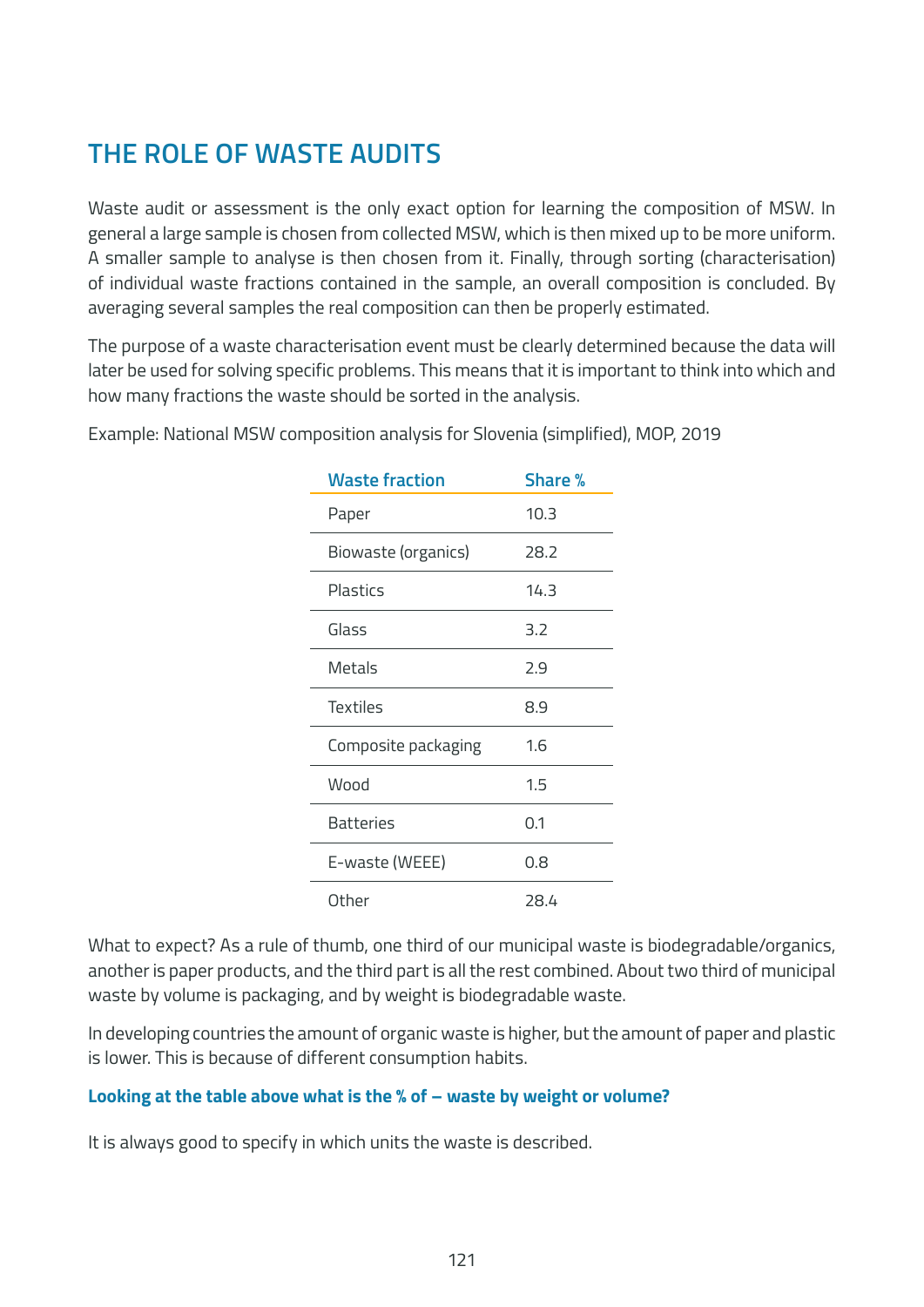# **THE ROLE OF WASTE AUDITS**

Waste audit or assessment is the only exact option for learning the composition of MSW. In general a large sample is chosen from collected MSW, which is then mixed up to be more uniform. A smaller sample to analyse is then chosen from it. Finally, through sorting (characterisation) of individual waste fractions contained in the sample, an overall composition is concluded. By averaging several samples the real composition can then be properly estimated.

The purpose of a waste characterisation event must be clearly determined because the data will later be used for solving specific problems. This means that it is important to think into which and how many fractions the waste should be sorted in the analysis.

| <b>Waste fraction</b> | <b>Share %</b> |
|-----------------------|----------------|
| Paper                 | 10.3           |
| Biowaste (organics)   | 28.2           |
| Plastics              | 14.3           |
| Glass                 | 3.2            |
| <b>Metals</b>         | 2.9            |
| <b>Textiles</b>       | 8.9            |
| Composite packaging   | 1.6            |
| Wood                  | 1.5            |
| Batteries             | 0.1            |
| E-waste (WEEE)        | 0.8            |
| Other                 | 28.4           |

Example: National MSW composition analysis for Slovenia (simplified), MOP, 2019

What to expect? As a rule of thumb, one third of our municipal waste is biodegradable/organics, another is paper products, and the third part is all the rest combined. About two third of municipal waste by volume is packaging, and by weight is biodegradable waste.

In developing countries the amount of organic waste is higher, but the amount of paper and plastic is lower. This is because of different consumption habits.

#### **Looking at the table above what is the % of – waste by weight or volume?**

It is always good to specify in which units the waste is described.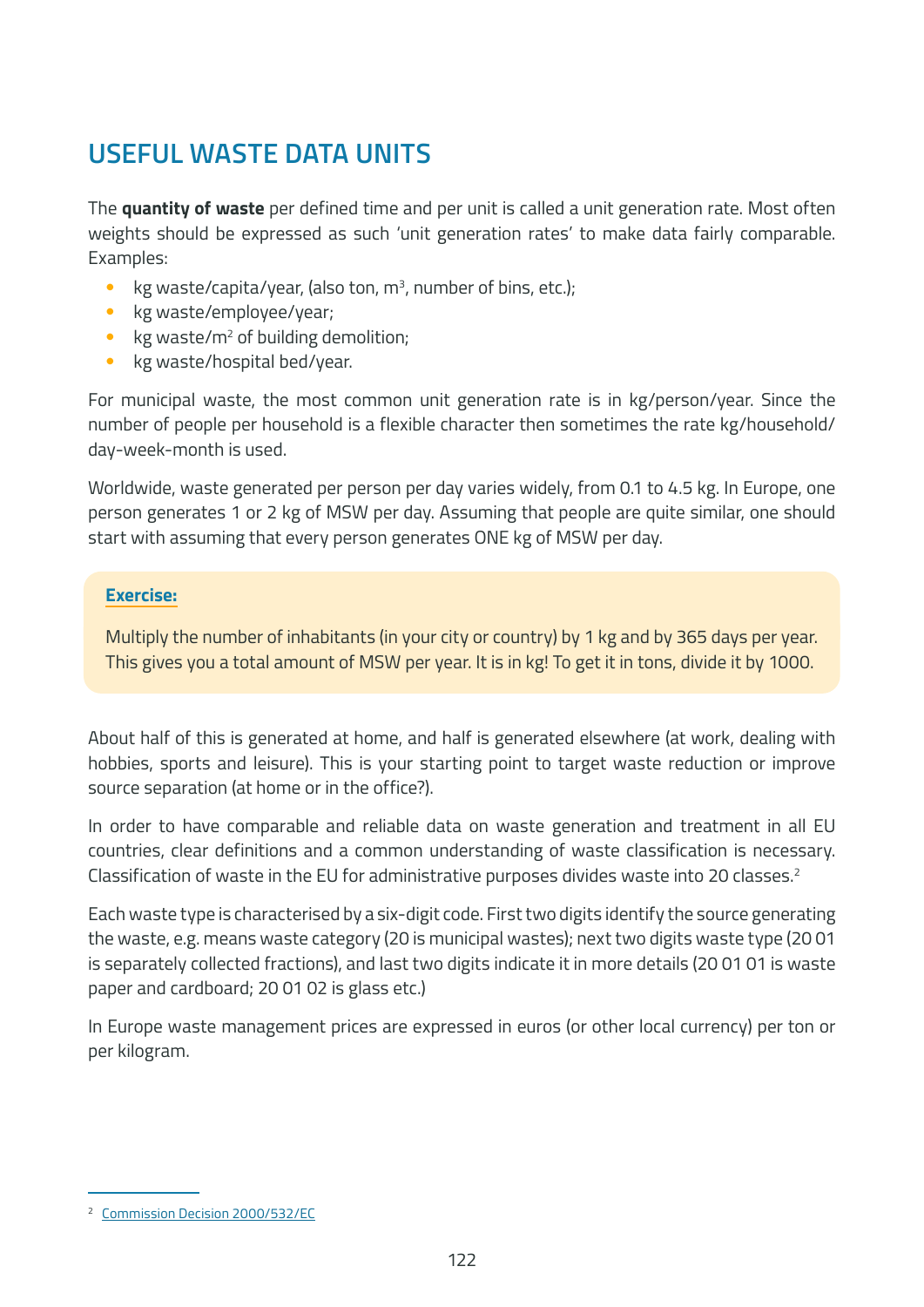### **USEFUL WASTE DATA UNITS**

The **quantity of waste** per defined time and per unit is called a unit generation rate. Most often weights should be expressed as such 'unit generation rates' to make data fairly comparable. Examples:

- kg waste/capita/year, (also ton,  $m<sup>3</sup>$ , number of bins, etc.);
- kg waste/employee/year;
- $\;$  kg waste/m<sup>2</sup> of building demolition;
- kg waste/hospital bed/year.

For municipal waste, the most common unit generation rate is in kg/person/year. Since the number of people per household is a flexible character then sometimes the rate kg/household/ day-week-month is used.

Worldwide, waste generated per person per day varies widely, from 0.1 to 4.5 kg. In Europe, one person generates 1 or 2 kg of MSW per day. Assuming that people are quite similar, one should start with assuming that every person generates ONE kg of MSW per day.

#### **Exercise:**

Multiply the number of inhabitants (in your city or country) by 1 kg and by 365 days per year. This gives you a total amount of MSW per year. It is in kg! To get it in tons, divide it by 1000.

About half of this is generated at home, and half is generated elsewhere (at work, dealing with hobbies, sports and leisure). This is your starting point to target waste reduction or improve source separation (at home or in the office?).

In order to have comparable and reliable data on waste generation and treatment in all EU countries, clear definitions and a common understanding of waste classification is necessary. Classification of waste in the EU for administrative purposes divides waste into 20 classes.<sup>2</sup>

Each waste type is characterised by a six-digit code. First two digits identify the source generating the waste, e.g. means waste category (20 is municipal wastes); next two digits waste type (20 01 is separately collected fractions), and last two digits indicate it in more details (20 01 01 is waste paper and cardboard; 20 01 02 is glass etc.)

In Europe waste management prices are expressed in euros (or other local currency) per ton or per kilogram.

<sup>2</sup> Commission Decision 2000/532/EC